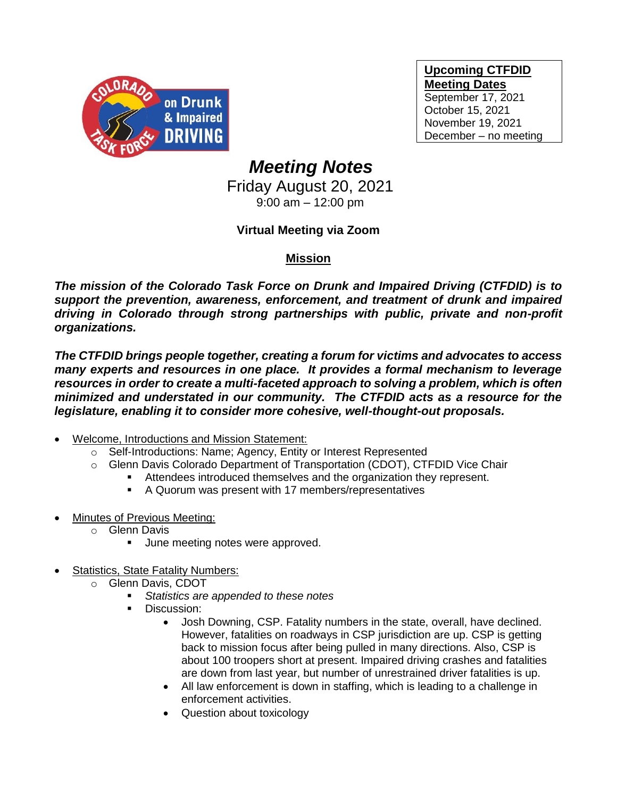

**Upcoming CTFDID Meeting Dates** September 17, 2021 October 15, 2021 November 19, 2021 December – no meeting

## *Meeting Notes*

Friday August 20, 2021 9:00 am – 12:00 pm

## **Virtual Meeting via Zoom**

## **Mission**

*The mission of the Colorado Task Force on Drunk and Impaired Driving (CTFDID) is to support the prevention, awareness, enforcement, and treatment of drunk and impaired driving in Colorado through strong partnerships with public, private and non-profit organizations.* 

*The CTFDID brings people together, creating a forum for victims and advocates to access many experts and resources in one place. It provides a formal mechanism to leverage*  resources in order to create a multi-faceted approach to solving a problem, which is often *minimized and understated in our community. The CTFDID acts as a resource for the legislature, enabling it to consider more cohesive, well-thought-out proposals.* 

- Welcome, Introductions and Mission Statement:
	- o Self-Introductions: Name; Agency, Entity or Interest Represented
	- o Glenn Davis Colorado Department of Transportation (CDOT), CTFDID Vice Chair
		- Attendees introduced themselves and the organization they represent.
			- A Quorum was present with 17 members/representatives
- Minutes of Previous Meeting:
	- o Glenn Davis
		- **■** June meeting notes were approved.
- **Statistics, State Fatality Numbers:** 
	- o Glenn Davis, CDOT
		- *Statistics are appended to these notes*
		- **•** Discussion:
			- Josh Downing, CSP. Fatality numbers in the state, overall, have declined. However, fatalities on roadways in CSP jurisdiction are up. CSP is getting back to mission focus after being pulled in many directions. Also, CSP is about 100 troopers short at present. Impaired driving crashes and fatalities are down from last year, but number of unrestrained driver fatalities is up.
			- All law enforcement is down in staffing, which is leading to a challenge in enforcement activities.
			- Question about toxicology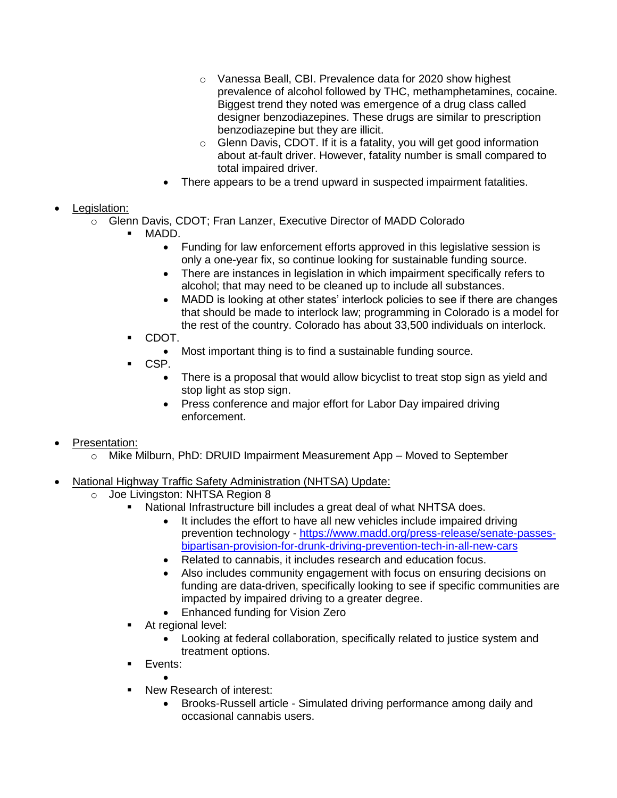- o Vanessa Beall, CBI. Prevalence data for 2020 show highest prevalence of alcohol followed by THC, methamphetamines, cocaine. Biggest trend they noted was emergence of a drug class called designer benzodiazepines. These drugs are similar to prescription benzodiazepine but they are illicit.
- o Glenn Davis, CDOT. If it is a fatality, you will get good information about at-fault driver. However, fatality number is small compared to total impaired driver.
- There appears to be a trend upward in suspected impairment fatalities.

## Legislation:

- o Glenn Davis, CDOT; Fran Lanzer, Executive Director of MADD Colorado
	- MADD.
		- Funding for law enforcement efforts approved in this legislative session is only a one-year fix, so continue looking for sustainable funding source.
		- There are instances in legislation in which impairment specifically refers to alcohol; that may need to be cleaned up to include all substances.
		- MADD is looking at other states' interlock policies to see if there are changes that should be made to interlock law; programming in Colorado is a model for the rest of the country. Colorado has about 33,500 individuals on interlock.
	- CDOT.
		- Most important thing is to find a sustainable funding source.
	- CSP.
		- There is a proposal that would allow bicyclist to treat stop sign as yield and stop light as stop sign.
		- Press conference and major effort for Labor Day impaired driving enforcement.
- Presentation:
	- o Mike Milburn, PhD: DRUID Impairment Measurement App Moved to September
- National Highway Traffic Safety Administration (NHTSA) Update:
	- o Joe Livingston: NHTSA Region 8
		- National Infrastructure bill includes a great deal of what NHTSA does.
			- It includes the effort to have all new vehicles include impaired driving prevention technology - [https://www.madd.org/press-release/senate-passes](https://www.madd.org/press-release/senate-passes-bipartisan-provision-for-drunk-driving-prevention-tech-in-all-new-cars)[bipartisan-provision-for-drunk-driving-prevention-tech-in-all-new-cars](https://www.madd.org/press-release/senate-passes-bipartisan-provision-for-drunk-driving-prevention-tech-in-all-new-cars)
			- Related to cannabis, it includes research and education focus.
			- Also includes community engagement with focus on ensuring decisions on funding are data-driven, specifically looking to see if specific communities are impacted by impaired driving to a greater degree.
			- Enhanced funding for Vision Zero
		- At regional level:
			- Looking at federal collaboration, specifically related to justice system and treatment options.
		- Events:
		- New Research of interest:
			- Brooks-Russell article Simulated driving performance among daily and occasional cannabis users.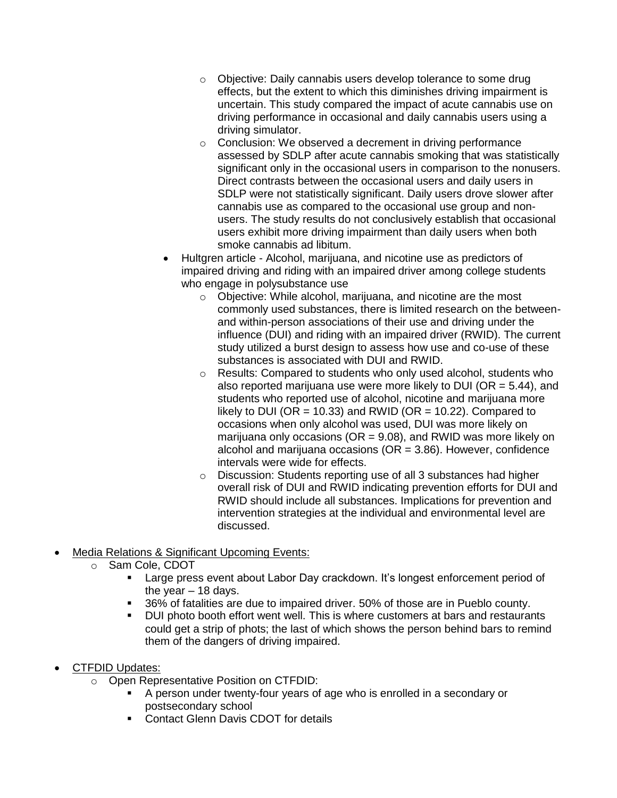- o Objective: Daily cannabis users develop tolerance to some drug effects, but the extent to which this diminishes driving impairment is uncertain. This study compared the impact of acute cannabis use on driving performance in occasional and daily cannabis users using a driving simulator.
- o Conclusion: We observed a decrement in driving performance assessed by SDLP after acute cannabis smoking that was statistically significant only in the occasional users in comparison to the nonusers. Direct contrasts between the occasional users and daily users in SDLP were not statistically significant. Daily users drove slower after cannabis use as compared to the occasional use group and nonusers. The study results do not conclusively establish that occasional users exhibit more driving impairment than daily users when both smoke cannabis ad libitum.
- Hultgren article Alcohol, marijuana, and nicotine use as predictors of impaired driving and riding with an impaired driver among college students who engage in polysubstance use
	- o Objective: While alcohol, marijuana, and nicotine are the most commonly used substances, there is limited research on the betweenand within-person associations of their use and driving under the influence (DUI) and riding with an impaired driver (RWID). The current study utilized a burst design to assess how use and co-use of these substances is associated with DUI and RWID.
	- $\circ$  Results: Compared to students who only used alcohol, students who also reported marijuana use were more likely to DUI (OR = 5.44), and students who reported use of alcohol, nicotine and marijuana more likely to DUI (OR = 10.33) and RWID (OR = 10.22). Compared to occasions when only alcohol was used, DUI was more likely on marijuana only occasions ( $OR = 9.08$ ), and RWID was more likely on alcohol and marijuana occasions ( $OR = 3.86$ ). However, confidence intervals were wide for effects.
	- o Discussion: Students reporting use of all 3 substances had higher overall risk of DUI and RWID indicating prevention efforts for DUI and RWID should include all substances. Implications for prevention and intervention strategies at the individual and environmental level are discussed.
- Media Relations & Significant Upcoming Events:
	- o Sam Cole, CDOT
		- Large press event about Labor Day crackdown. It's longest enforcement period of the year  $-18$  days.
		- 36% of fatalities are due to impaired driver. 50% of those are in Pueblo county.
		- DUI photo booth effort went well. This is where customers at bars and restaurants could get a strip of phots; the last of which shows the person behind bars to remind them of the dangers of driving impaired.
- **CTFDID Updates:** 
	- o Open Representative Position on CTFDID:
		- A person under twenty-four years of age who is enrolled in a secondary or postsecondary school
		- Contact Glenn Davis CDOT for details